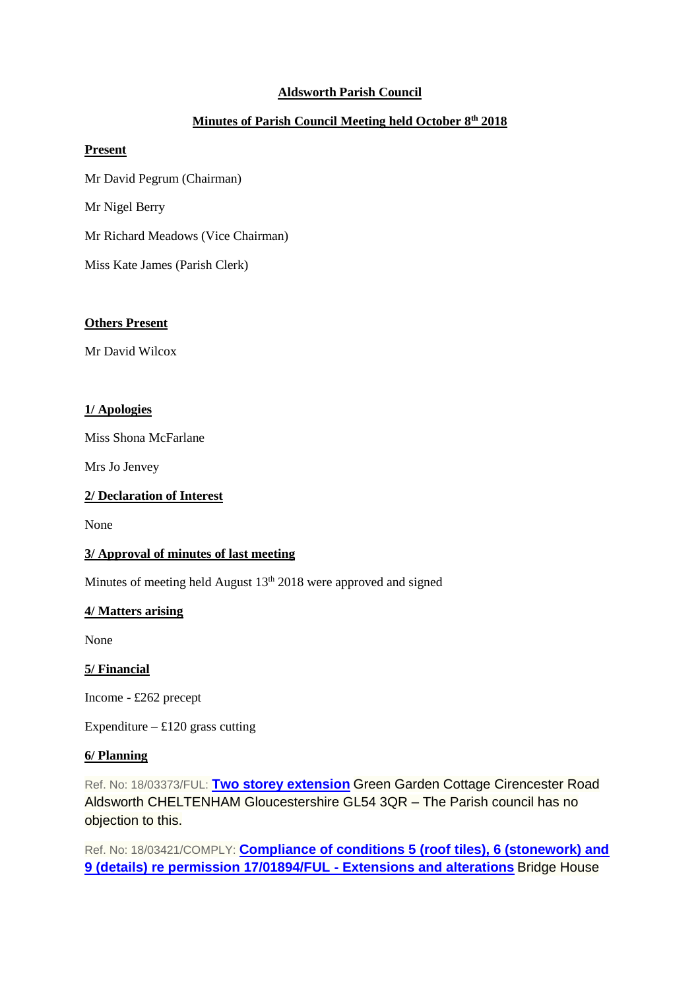# **Aldsworth Parish Council**

# **Minutes of Parish Council Meeting held October 8th 2018**

### **Present**

Mr David Pegrum (Chairman) Mr Nigel Berry Mr Richard Meadows (Vice Chairman) Miss Kate James (Parish Clerk)

### **Others Present**

Mr David Wilcox

### **1/ Apologies**

Miss Shona McFarlane

Mrs Jo Jenvey

### **2/ Declaration of Interest**

None

# **3/ Approval of minutes of last meeting**

Minutes of meeting held August 13<sup>th</sup> 2018 were approved and signed

# **4/ Matters arising**

None

# **5/ Financial**

Income - £262 precept

Expenditure –  $£120$  grass cutting

#### **6/ Planning**

Ref. No: 18/03373/FUL: **[Two storey extension](https://publicaccess.cotswold.gov.uk/online-applications/applicationDetails.do?keyVal=PEMRY9FIJJT00&activeTab=summary)** Green Garden Cottage Cirencester Road Aldsworth CHELTENHAM Gloucestershire GL54 3QR – The Parish council has no objection to this.

Ref. No: 18/03421/COMPLY: **[Compliance of conditions 5 \(roof tiles\), 6 \(stonework\) and](https://publicaccess.cotswold.gov.uk/online-applications/applicationDetails.do?keyVal=PEW6UDFIJN000&activeTab=summary)  [9 \(details\) re permission 17/01894/FUL -](https://publicaccess.cotswold.gov.uk/online-applications/applicationDetails.do?keyVal=PEW6UDFIJN000&activeTab=summary) Extensions and alterations** Bridge House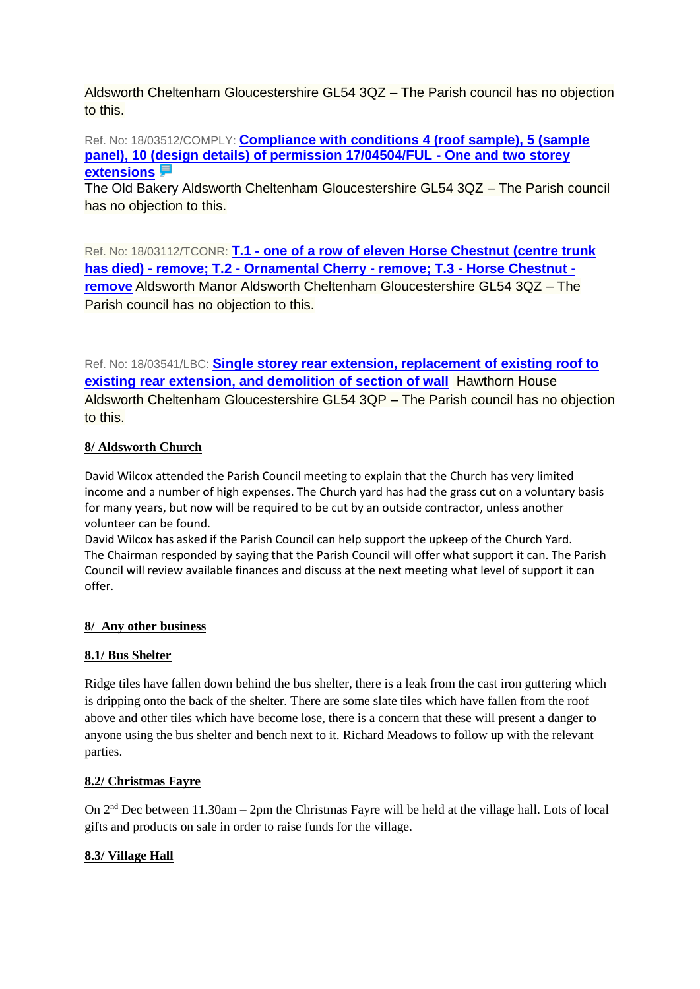Aldsworth Cheltenham Gloucestershire GL54 3QZ – The Parish council has no objection to this.

Ref. No: 18/03512/COMPLY: **[Compliance with conditions 4 \(roof sample\), 5 \(sample](https://publicaccess.cotswold.gov.uk/online-applications/applicationDetails.do?keyVal=PF74I0FI03700&activeTab=summary)  [panel\), 10 \(design details\) of permission 17/04504/FUL -](https://publicaccess.cotswold.gov.uk/online-applications/applicationDetails.do?keyVal=PF74I0FI03700&activeTab=summary) One and two storey [extensions](https://publicaccess.cotswold.gov.uk/online-applications/applicationDetails.do?keyVal=PF74I0FI03700&activeTab=summary)**

The Old Bakery Aldsworth Cheltenham Gloucestershire GL54 3QZ – The Parish council has no objection to this.

Ref. No: 18/03112/TCONR: **T.1 - [one of a row of eleven Horse Chestnut \(centre trunk](https://publicaccess.cotswold.gov.uk/online-applications/applicationDetails.do?keyVal=PDHRMGFI03700&activeTab=summary)  has died) - remove; T.2 - [Ornamental Cherry -](https://publicaccess.cotswold.gov.uk/online-applications/applicationDetails.do?keyVal=PDHRMGFI03700&activeTab=summary) remove; T.3 - Horse Chestnut [remove](https://publicaccess.cotswold.gov.uk/online-applications/applicationDetails.do?keyVal=PDHRMGFI03700&activeTab=summary)** Aldsworth Manor Aldsworth Cheltenham Gloucestershire GL54 3QZ – The Parish council has no objection to this.

Ref. No: 18/03541/LBC: **[Single storey rear extension, replacement of existing roof to](https://publicaccess.cotswold.gov.uk/online-applications/applicationDetails.do?keyVal=PFAJG7FIJTZ00&activeTab=summary)  [existing rear extension, and demolition of section of wall](https://publicaccess.cotswold.gov.uk/online-applications/applicationDetails.do?keyVal=PFAJG7FIJTZ00&activeTab=summary)** Hawthorn House Aldsworth Cheltenham Gloucestershire GL54 3QP – The Parish council has no objection to this.

# **8/ Aldsworth Church**

David Wilcox attended the Parish Council meeting to explain that the Church has very limited income and a number of high expenses. The Church yard has had the grass cut on a voluntary basis for many years, but now will be required to be cut by an outside contractor, unless another volunteer can be found.

David Wilcox has asked if the Parish Council can help support the upkeep of the Church Yard. The Chairman responded by saying that the Parish Council will offer what support it can. The Parish Council will review available finances and discuss at the next meeting what level of support it can offer.

# **8/ Any other business**

# **8.1/ Bus Shelter**

Ridge tiles have fallen down behind the bus shelter, there is a leak from the cast iron guttering which is dripping onto the back of the shelter. There are some slate tiles which have fallen from the roof above and other tiles which have become lose, there is a concern that these will present a danger to anyone using the bus shelter and bench next to it. Richard Meadows to follow up with the relevant parties.

# **8.2/ Christmas Fayre**

On 2nd Dec between 11.30am – 2pm the Christmas Fayre will be held at the village hall. Lots of local gifts and products on sale in order to raise funds for the village.

# **8.3/ Village Hall**